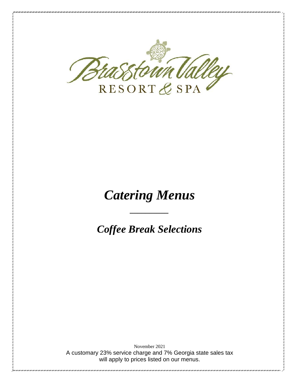

# *Catering Menus*

*\_\_\_\_\_\_\_\_\_\_*

*Coffee Break Selections*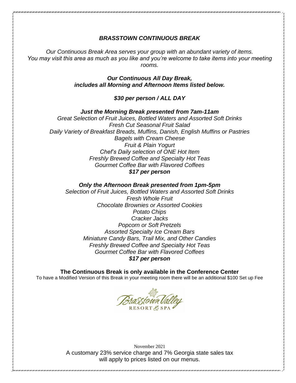## *BRASSTOWN CONTINUOUS BREAK*

*Our Continuous Break Area serves your group with an abundant variety of items. You may visit this area as much as you like and you're welcome to take items into your meeting rooms.*

> *Our Continuous All Day Break, includes all Morning and Afternoon Items listed below.*

> > *\$30 per person / ALL DAY*

*Just the Morning Break presented from 7am-11am Great Selection of Fruit Juices, Bottled Waters and Assorted Soft Drinks Fresh Cut Seasonal Fruit Salad Daily Variety of Breakfast Breads, Muffins, Danish, English Muffins or Pastries Bagels with Cream Cheese Fruit & Plain Yogurt Chef's Daily selection of ONE Hot Item Freshly Brewed Coffee and Specialty Hot Teas Gourmet Coffee Bar with Flavored Coffees \$17 per person*

*Only the Afternoon Break presented from 1pm-5pm Selection of Fruit Juices, Bottled Waters and Assorted Soft Drinks Fresh Whole Fruit Chocolate Brownies or Assorted Cookies Potato Chips Cracker Jacks Popcorn or Soft Pretzels Assorted Specialty Ice Cream Bars Miniature Candy Bars, Trail Mix, and Other Candies Freshly Brewed Coffee and Specialty Hot Teas Gourmet Coffee Bar with Flavored Coffees \$17 per person*

**The Continuous Break is only available in the Conference Center** To have a Modified Version of this Break in your meeting room there will be an additional \$100 Set up Fee

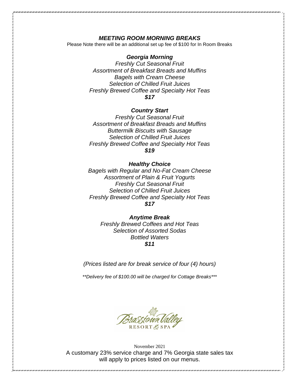## *MEETING ROOM MORNING BREAKS*

Please Note there will be an additional set up fee of \$100 for In Room Breaks

#### *Georgia Morning*

*Freshly Cut Seasonal Fruit Assortment of Breakfast Breads and Muffins Bagels with Cream Cheese Selection of Chilled Fruit Juices Freshly Brewed Coffee and Specialty Hot Teas \$17*

## *Country Start*

*Freshly Cut Seasonal Fruit Assortment of Breakfast Breads and Muffins Buttermilk Biscuits with Sausage Selection of Chilled Fruit Juices Freshly Brewed Coffee and Specialty Hot Teas \$19*

#### *Healthy Choice*

*Bagels with Regular and No-Fat Cream Cheese Assortment of Plain & Fruit Yogurts Freshly Cut Seasonal Fruit Selection of Chilled Fruit Juices Freshly Brewed Coffee and Specialty Hot Teas \$17*

*Anytime Break Freshly Brewed Coffees and Hot Teas Selection of Assorted Sodas Bottled Waters \$11*

*(Prices listed are for break service of four (4) hours)*

*\*\*Delivery fee of \$100.00 will be charged for Cottage Breaks\*\*\**

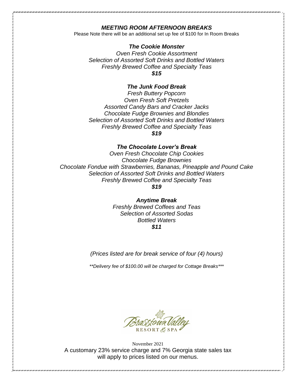## *MEETING ROOM AFTERNOON BREAKS*

Please Note there will be an additional set up fee of \$100 for In Room Breaks

### *The Cookie Monster*

*Oven Fresh Cookie Assortment Selection of Assorted Soft Drinks and Bottled Waters Freshly Brewed Coffee and Specialty Teas \$15*

### *The Junk Food Break*

*Fresh Buttery Popcorn Oven Fresh Soft Pretzels Assorted Candy Bars and Cracker Jacks Chocolate Fudge Brownies and Blondies Selection of Assorted Soft Drinks and Bottled Waters Freshly Brewed Coffee and Specialty Teas \$19*

#### *The Chocolate Lover's Break*

*Oven Fresh Chocolate Chip Cookies Chocolate Fudge Brownies Chocolate Fondue with Strawberries, Bananas, Pineapple and Pound Cake Selection of Assorted Soft Drinks and Bottled Waters Freshly Brewed Coffee and Specialty Teas*

*\$19*

*Anytime Break Freshly Brewed Coffees and Teas Selection of Assorted Sodas Bottled Waters \$11*

*(Prices listed are for break service of four (4) hours)*

*\*\*Delivery fee of \$100.00 will be charged for Cottage Breaks\*\*\**